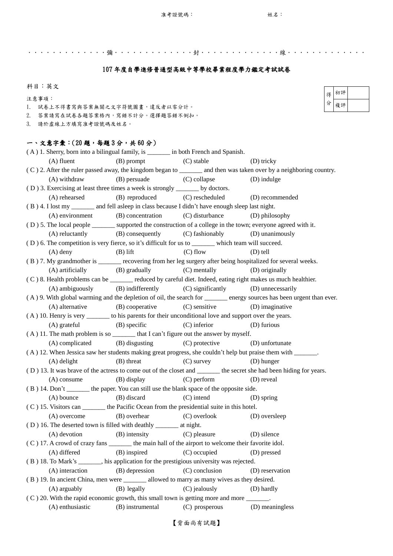【背面尚有試題】

(A) devotion (B) intensity (C) pleasure (D) silence ( C ) 17. A crowd of crazy fans \_\_\_\_\_\_\_ the main hall of the airport to welcome their favorite idol. (A) differed (B) inspired (C) occupied (D) pressed ( B ) 18. To Mark's \_\_\_\_\_\_\_, his application for the prestigious university was rejected. (A) interaction (B) depression (C) conclusion (D) reservation ( B ) 19. In ancient China, men were \_\_\_\_\_\_\_ allowed to marry as many wives as they desired. (A) arguably (B) legally (C) jealously (D) hardly  $(C)$  20. With the rapid economic growth, this small town is getting more and more  $\qquad \qquad$ . (A) enthusiastic (B) instrumental (C) prosperous (D) meaningless

.............彌.............封.............線............. 107 年度自學進修普通型高級中等學校畢業程度學力鑑定考試試卷 科目:英文 注意事項: 1. 試卷上不得書寫與答案無關之文字符號圖畫,違反者以零分計。 2. 答案請寫在試卷各題答案格內,寫錯不計分。選擇題答錯不倒扣。 3. 請於虛線上方填寫准考證號碼及姓名。 一、文意字彙:(20 題,每題 3 分,共 60 分) ( A ) 1. Sherry, born into a bilingual family, is \_\_\_\_\_\_\_ in both French and Spanish. (A) fluent (B) prompt (C) stable (D) tricky ( C ) 2. After the ruler passed away, the kingdom began to \_\_\_\_\_\_\_ and then was taken over by a neighboring country. (A) withdraw (B) persuade (C) collapse (D) indulge ( D ) 3. Exercising at least three times a week is strongly \_\_\_\_\_\_\_ by doctors. (A) rehearsed (B) reproduced (C) rescheduled (D) recommended ( B ) 4. I lost my \_\_\_\_\_\_\_ and fell asleep in class because I didn't have enough sleep last night. (A) environment (B) concentration (C) disturbance (D) philosophy ( D ) 5. The local people \_\_\_\_\_\_\_ supported the construction of a college in the town; everyone agreed with it. (A) reluctantly (B) consequently (C) fashionably (D) unanimously ( D ) 6. The competition is very fierce, so it's difficult for us to \_\_\_\_\_\_\_ which team will succeed. (A) deny  $(B)$  lift  $(C)$  flow  $(D)$  tell ( B ) 7. My grandmother is \_\_\_\_\_\_\_ recovering from her leg surgery after being hospitalized for several weeks. (A) artificially (B) gradually (C) mentally (D) originally ( C ) 8. Health problems can be \_\_\_\_\_\_\_ reduced by careful diet. Indeed, eating right makes us much healthier. (A) ambiguously (B) indifferently (C) significantly (D) unnecessarily ( A ) 9. With global warming and the depletion of oil, the search for \_\_\_\_\_\_\_ energy sources has been urgent than ever. (A) alternative (B) cooperative (C) sensitive (D) imaginative ( A ) 10. Henry is very \_\_\_\_\_\_\_ to his parents for their unconditional love and support over the years. (A) grateful (B) specific (C) inferior (D) furious  $(A)$  11. The math problem is so \_\_\_\_\_\_\_\_ that I can't figure out the answer by myself. (A) complicated (B) disgusting (C) protective (D) unfortunate ( A ) 12. When Jessica saw her students making great progress, she couldn't help but praise them with \_\_\_\_\_\_\_. (A) delight (B) threat (C) survey (D) hunger ( D ) 13. It was brave of the actress to come out of the closet and \_\_\_\_\_\_\_ the secret she had been hiding for years. (A) consume (B) display (C) perform (D) reveal ( B ) 14. Don't \_\_\_\_\_\_\_ the paper. You can still use the blank space of the opposite side. (A) bounce (B) discard (C) intend (D) spring ( C ) 15. Visitors can \_\_\_\_\_\_\_ the Pacific Ocean from the presidential suite in this hotel. 得 分 初評 複評

(A) overcome (B) overhear (C) overlook (D) oversleep

( D ) 16. The deserted town is filled with deathly \_\_\_\_\_\_\_ at night.